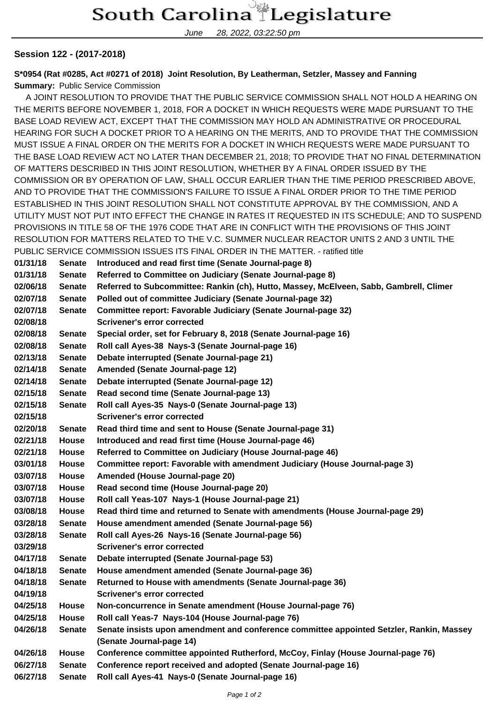## South Carolina Legislature

June 28, 2022, 03:22:50 pm

## **Session 122 - (2017-2018)**

**S\*0954 (Rat #0285, Act #0271 of 2018) Joint Resolution, By Leatherman, Setzler, Massey and Fanning Summary:** Public Service Commission

 A JOINT RESOLUTION TO PROVIDE THAT THE PUBLIC SERVICE COMMISSION SHALL NOT HOLD A HEARING ON THE MERITS BEFORE NOVEMBER 1, 2018, FOR A DOCKET IN WHICH REQUESTS WERE MADE PURSUANT TO THE BASE LOAD REVIEW ACT, EXCEPT THAT THE COMMISSION MAY HOLD AN ADMINISTRATIVE OR PROCEDURAL HEARING FOR SUCH A DOCKET PRIOR TO A HEARING ON THE MERITS, AND TO PROVIDE THAT THE COMMISSION MUST ISSUE A FINAL ORDER ON THE MERITS FOR A DOCKET IN WHICH REQUESTS WERE MADE PURSUANT TO THE BASE LOAD REVIEW ACT NO LATER THAN DECEMBER 21, 2018; TO PROVIDE THAT NO FINAL DETERMINATION OF MATTERS DESCRIBED IN THIS JOINT RESOLUTION, WHETHER BY A FINAL ORDER ISSUED BY THE COMMISSION OR BY OPERATION OF LAW, SHALL OCCUR EARLIER THAN THE TIME PERIOD PRESCRIBED ABOVE, AND TO PROVIDE THAT THE COMMISSION'S FAILURE TO ISSUE A FINAL ORDER PRIOR TO THE TIME PERIOD ESTABLISHED IN THIS JOINT RESOLUTION SHALL NOT CONSTITUTE APPROVAL BY THE COMMISSION, AND A UTILITY MUST NOT PUT INTO EFFECT THE CHANGE IN RATES IT REQUESTED IN ITS SCHEDULE; AND TO SUSPEND PROVISIONS IN TITLE 58 OF THE 1976 CODE THAT ARE IN CONFLICT WITH THE PROVISIONS OF THIS JOINT RESOLUTION FOR MATTERS RELATED TO THE V.C. SUMMER NUCLEAR REACTOR UNITS 2 AND 3 UNTIL THE PUBLIC SERVICE COMMISSION ISSUES ITS FINAL ORDER IN THE MATTER. - ratified title

**01/31/18 Senate Introduced and read first time (Senate Journal-page 8) 01/31/18 Senate Referred to Committee on Judiciary (Senate Journal-page 8) 02/06/18 Senate Referred to Subcommittee: Rankin (ch), Hutto, Massey, McElveen, Sabb, Gambrell, Climer 02/07/18 Senate Polled out of committee Judiciary (Senate Journal-page 32) 02/07/18 Senate Committee report: Favorable Judiciary (Senate Journal-page 32) 02/08/18 Scrivener's error corrected 02/08/18 Senate Special order, set for February 8, 2018 (Senate Journal-page 16) 02/08/18 Senate Roll call Ayes-38 Nays-3 (Senate Journal-page 16) 02/13/18 Senate Debate interrupted (Senate Journal-page 21) 02/14/18 Senate Amended (Senate Journal-page 12) 02/14/18 Senate Debate interrupted (Senate Journal-page 12) 02/15/18 Senate Read second time (Senate Journal-page 13) 02/15/18 Senate Roll call Ayes-35 Nays-0 (Senate Journal-page 13) 02/15/18 Scrivener's error corrected 02/20/18 Senate Read third time and sent to House (Senate Journal-page 31) 02/21/18 House Introduced and read first time (House Journal-page 46) 02/21/18 House Referred to Committee on Judiciary (House Journal-page 46) 03/01/18 House Committee report: Favorable with amendment Judiciary (House Journal-page 3) 03/07/18 House Amended (House Journal-page 20) 03/07/18 House Read second time (House Journal-page 20) 03/07/18 House Roll call Yeas-107 Nays-1 (House Journal-page 21) 03/08/18 House Read third time and returned to Senate with amendments (House Journal-page 29) 03/28/18 Senate House amendment amended (Senate Journal-page 56) 03/28/18 Senate Roll call Ayes-26 Nays-16 (Senate Journal-page 56) 03/29/18 Scrivener's error corrected 04/17/18 Senate Debate interrupted (Senate Journal-page 53) 04/18/18 Senate House amendment amended (Senate Journal-page 36) 04/18/18 Senate Returned to House with amendments (Senate Journal-page 36) 04/19/18 Scrivener's error corrected 04/25/18 House Non-concurrence in Senate amendment (House Journal-page 76) 04/25/18 House Roll call Yeas-7 Nays-104 (House Journal-page 76) 04/26/18 Senate Senate insists upon amendment and conference committee appointed Setzler, Rankin, Massey (Senate Journal-page 14) 04/26/18 House Conference committee appointed Rutherford, McCoy, Finlay (House Journal-page 76) 06/27/18 Senate Conference report received and adopted (Senate Journal-page 16) 06/27/18 Senate Roll call Ayes-41 Nays-0 (Senate Journal-page 16)**